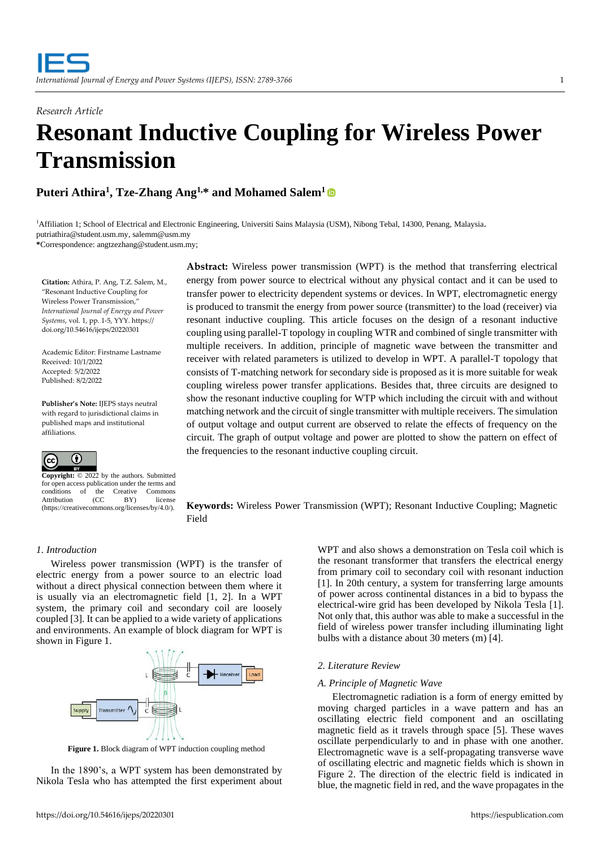# *Research Article* **Resonant Inductive Coupling for Wireless Power Transmission**

**Puteri Athira<sup>1</sup> , Tze-Zhang Ang1,\* and Mohamed Salem<sup>1</sup>**

<sup>1</sup>Affiliation 1; School of Electrical and Electronic Engineering, Universiti Sains Malaysia (USM), Nibong Tebal, 14300, Penang, Malaysia. putriathira@student.usm.my, salemm@usm.my **\***Correspondence: angtzezhang@student.usm.my;

**Citation:** Athira, P. Ang, T.Z. Salem, M., "Resonant Inductive Coupling for Wireless Power Transmission," *International Journal of Energy and Power Systems*, vol. 1, pp. 1-5, YYY. https:// doi.org/10.54616/ijeps/20220301

Academic Editor: Firstname Lastname Received: 10/1/2022 Accepted: 5/2/2022 Published: 8/2/2022

**Publisher's Note:** IJEPS stays neutral with regard to jurisdictional claims in published maps and institutional affiliations.



**Copyright:** © 2022 by the authors. Submitted for open access publication under the terms and<br>conditions of the Creative Commons conditions of the<br>Attribution (CC Attribution (CC BY) license (https://creativecommons.org/licenses/by/4.0/).

**Abstract:** Wireless power transmission (WPT) is the method that transferring electrical energy from power source to electrical without any physical contact and it can be used to transfer power to electricity dependent systems or devices. In WPT, electromagnetic energy is produced to transmit the energy from power source (transmitter) to the load (receiver) via resonant inductive coupling. This article focuses on the design of a resonant inductive coupling using parallel-T topology in coupling WTR and combined of single transmitter with multiple receivers. In addition, principle of magnetic wave between the transmitter and receiver with related parameters is utilized to develop in WPT. A parallel-T topology that consists of T-matching network for secondary side is proposed as it is more suitable for weak coupling wireless power transfer applications. Besides that, three circuits are designed to show the resonant inductive coupling for WTP which including the circuit with and without matching network and the circuit of single transmitter with multiple receivers. The simulation of output voltage and output current are observed to relate the effects of frequency on the circuit. The graph of output voltage and power are plotted to show the pattern on effect of the frequencies to the resonant inductive coupling circuit.

**Keywords:** Wireless Power Transmission (WPT); Resonant Inductive Coupling; Magnetic Field

## *1. Introduction*

Wireless power transmission (WPT) is the transfer of electric energy from a power source to an electric load without a direct physical connection between them where it is usually via an electromagnetic field [1, 2]. In a WPT system, the primary coil and secondary coil are loosely coupled [3]. It can be applied to a wide variety of applications and environments. An example of block diagram for WPT is shown in Figure 1.



**Figure 1.** Block diagram of WPT induction coupling method

In the 1890's, a WPT system has been demonstrated by Nikola Tesla who has attempted the first experiment about WPT and also shows a demonstration on Tesla coil which is the resonant transformer that transfers the electrical energy from primary coil to secondary coil with resonant induction [1]. In 20th century, a system for transferring large amounts of power across continental distances in a bid to bypass the electrical-wire grid has been developed by Nikola Tesla [1]. Not only that, this author was able to make a successful in the field of wireless power transfer including illuminating light bulbs with a distance about 30 meters (m) [4].

## *2. Literature Review*

## *A. Principle of Magnetic Wave*

Electromagnetic radiation is a form of energy emitted by moving charged particles in a wave pattern and has an oscillating electric field component and an oscillating magnetic field as it travels through space [5]. These waves oscillate perpendicularly to and in phase with one another. Electromagnetic wave is a self-propagating transverse wave of oscillating electric and magnetic fields which is shown in Figure 2. The direction of the electric field is indicated in blue, the magnetic field in red, and the wave propagates in the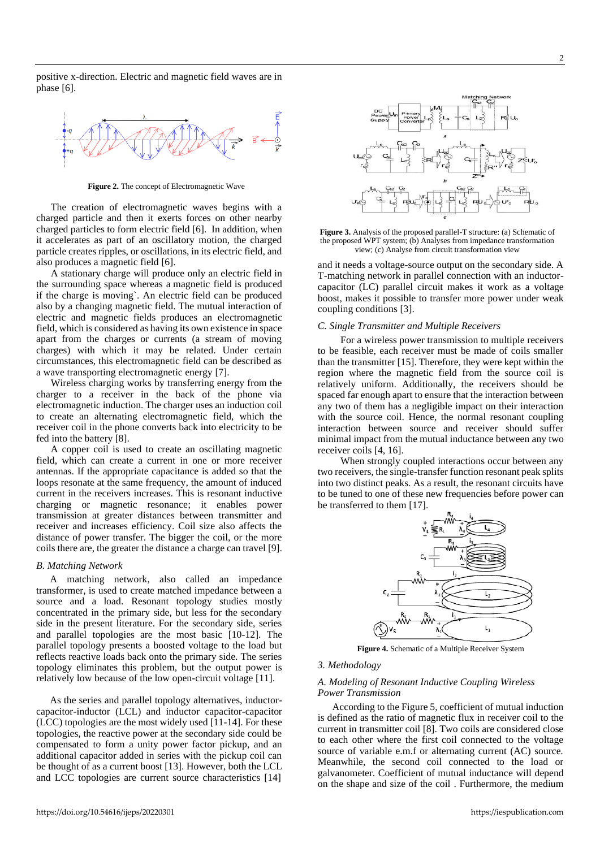positive x-direction. Electric and magnetic field waves are in phase [6].



**Figure 2.** The concept of Electromagnetic Wave

The creation of electromagnetic waves begins with a charged particle and then it exerts forces on other nearby charged particles to form electric field [6]. In addition, when it accelerates as part of an oscillatory motion, the charged particle creates ripples, or oscillations, in its electric field, and also produces a magnetic field [6].

A stationary charge will produce only an [electric field](https://www.britannica.com/science/electric-field) in the surrounding space whereas a [magnetic field](https://www.britannica.com/science/magnetic-field) is produced if the charge is moving`. An electric field can be produced also by a changing magnetic field. The mutual interaction of electric and magnetic fields produces an electromagnetic field, which is considered as having its own existence in space apart from the charges or currents (a stream of moving charges) with which it may be related. Under certain circumstances, this electromagnetic field can be described as a wave transporting electromagnetic energy [7].

Wireless charging works by transferring energy from the charger to a receiver in the back of the phone via electromagnetic induction. The charger uses an induction coil to create an alternating electromagnetic field, which the receiver coil in the phone converts back into electricity to be fed into the battery [8].

A copper coil is used to create an oscillating magnetic field, which can create a current in one or more receiver antennas. If the appropriate capacitance is added so that the loops resonate at the same frequency, the amount of induced current in the receivers increases. This is resonant inductive charging or magnetic resonance; it enables power transmission at greater distances between transmitter and receiver and increases efficiency. Coil size also affects the distance of power transfer. The bigger the coil, or the more coils there are, the greater the distance a charge can travel [9].

## *B. Matching Network*

A matching network, also called an impedance transformer, is used to create matched impedance between a source and a load. Resonant topology studies mostly concentrated in the primary side, but less for the secondary side in the present literature. For the secondary side, series and parallel topologies are the most basic [10-12]. The parallel topology presents a boosted voltage to the load but reflects reactive loads back onto the primary side. The series topology eliminates this problem, but the output power is relatively low because of the low open-circuit voltage [11].

As the series and parallel topology alternatives, inductorcapacitor-inductor (LCL) and inductor capacitor-capacitor (LCC) topologies are the most widely used [11-14]. For these topologies, the reactive power at the secondary side could be compensated to form a unity power factor pickup, and an additional capacitor added in series with the pickup coil can be thought of as a current boost [13]. However, both the LCL and LCC topologies are current source characteristics [14]



**Figure 3.** Analysis of the proposed parallel-T structure: (a) Schematic of the proposed WPT system; (b) Analyses from impedance transformation view; (c) Analyse from circuit transformation view

and it needs a voltage-source output on the secondary side. A T-matching network in parallel connection with an inductorcapacitor (LC) parallel circuit makes it work as a voltage boost, makes it possible to transfer more power under weak coupling conditions [3].

#### *C. Single Transmitter and Multiple Receivers*

For a wireless power transmission to multiple receivers to be feasible, each receiver must be made of coils smaller than the transmitter [15]. Therefore, they were kept within the region where the magnetic field from the source coil is relatively uniform. Additionally, the receivers should be spaced far enough apart to ensure that the interaction between any two of them has a negligible impact on their interaction with the source coil. Hence, the normal resonant coupling interaction between source and receiver should suffer minimal impact from the mutual inductance between any two receiver coils [4, 16].

When strongly coupled interactions occur between any two receivers, the single-transfer function resonant peak splits into two distinct peaks. As a result, the resonant circuits have to be tuned to one of these new frequencies before power can be transferred to them [17].



**Figure 4.** Schematic of a Multiple Receiver System

#### *3. Methodology*

#### *A. Modeling of Resonant Inductive Coupling Wireless Power Transmission*

According to the Figure 5, coefficient of mutual induction is defined as the ratio of magnetic flux in receiver coil to the current in transmitter coil [8]. Two coils are considered close to each other where the first coil connected to the voltage source of variable e.m.f or alternating current (AC) source. Meanwhile, the second coil connected to the load or galvanometer. Coefficient of mutual inductance will depend on the shape and size of the coil . Furthermore, the medium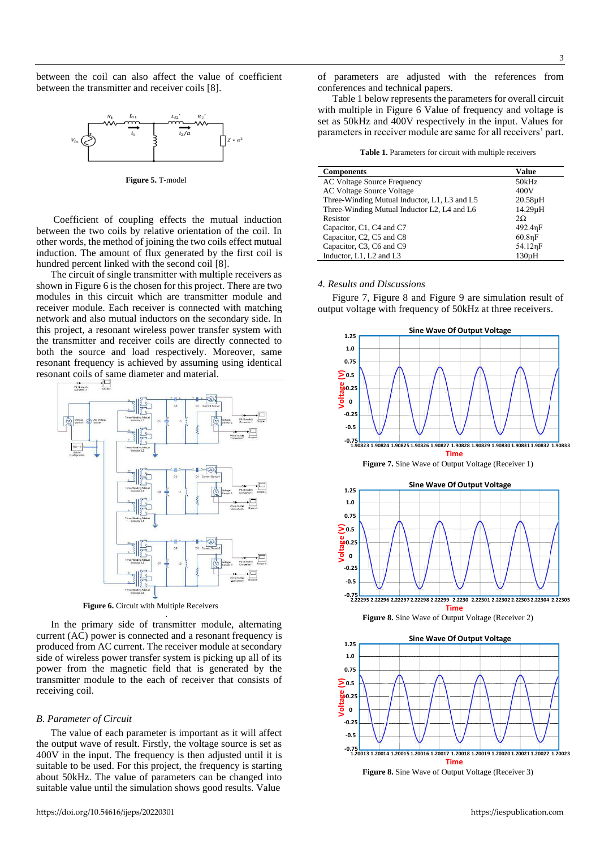between the coil can also affect the value of coefficient between the transmitter and receiver coils [8].



**Figure 5.** T-model

Coefficient of coupling effects the mutual induction between the two coils by relative orientation of the coil. In other words, the method of joining the two coils effect mutual induction. The amount of flux generated by the first coil is hundred percent linked with the second coil [8].

The circuit of single transmitter with multiple receivers as shown in Figure 6 is the chosen for this project. There are two modules in this circuit which are transmitter module and receiver module. Each receiver is connected with matching network and also mutual inductors on the secondary side. In this project, a resonant wireless power transfer system with the transmitter and receiver coils are directly connected to both the source and load respectively. Moreover, same resonant frequency is achieved by assuming using identical resonant coils of same diameter and material.



**Figure 6.** Circuit with Multiple Receivers

In the primary side of transmitter module, alternating current (AC) power is connected and a resonant frequency is produced from AC current. The receiver module at secondary side of wireless power transfer system is picking up all of its power from the magnetic field that is generated by the transmitter module to the each of receiver that consists of receiving coil.

.

#### *B. Parameter of Circuit*

The value of each parameter is important as it will affect the output wave of result. Firstly, the voltage source is set as 400V in the input. The frequency is then adjusted until it is suitable to be used. For this project, the frequency is starting about 50kHz. The value of parameters can be changed into suitable value until the simulation shows good results. Value

of parameters are adjusted with the references from conferences and technical papers.

Table 1 below represents the parameters for overall circuit with multiple in Figure 6 Value of frequency and voltage is set as 50kHz and 400V respectively in the input. Values for parameters in receiver module are same for all receivers' part.

**Table 1.** Parameters for circuit with multiple receivers

| <b>Components</b>                            | Value        |
|----------------------------------------------|--------------|
| <b>AC Voltage Source Frequency</b>           | 50kHz        |
| <b>AC Voltage Source Voltage</b>             | 400V         |
| Three-Winding Mutual Inductor, L1, L3 and L5 | $20.58\mu H$ |
| Three-Winding Mutual Inductor L2, L4 and L6  | 14.29µH      |
| Resistor                                     | $2\Omega$    |
| Capacitor, C1, C4 and C7                     | 492.4nF      |
| Capacitor, C2, C5 and C8                     | 60.8nF       |
| Capacitor, C3, C6 and C9                     | 54.12nF      |
| Inductor, L1, L2 and L3                      | $130\mu H$   |

## *4. Results and Discussions*

Figure 7, Figure 8 and Figure 9 are simulation result of output voltage with frequency of 50kHz at three receivers.





**Figure 8.** Sine Wave of Output Voltage (Receiver 2)

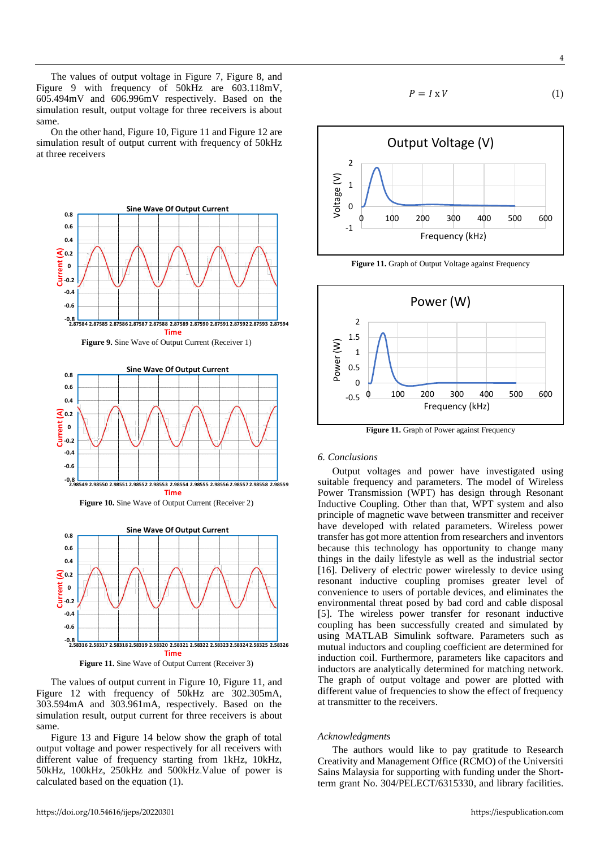The values of output voltage in Figure 7, Figure 8, and Figure 9 with frequency of 50kHz are 603.118mV, 605.494mV and 606.996mV respectively. Based on the simulation result, output voltage for three receivers is about same.

On the other hand, Figure 10, Figure 11 and Figure 12 are simulation result of output current with frequency of 50kHz at three receivers



Figure 11. Sine Wave of Output Current (Receiver 3)

The values of output current in Figure 10, Figure 11, and Figure 12 with frequency of 50kHz are 302.305mA, 303.594mA and 303.961mA, respectively. Based on the simulation result, output current for three receivers is about same.

Figure 13 and Figure 14 below show the graph of total output voltage and power respectively for all receivers with different value of frequency starting from 1kHz, 10kHz, 50kHz, 100kHz, 250kHz and 500kHz.Value of power is calculated based on the equation (1).

$$
P = I \times V \tag{1}
$$



Figure 11. Graph of Output Voltage against Frequency



**Figure 11.** Graph of Power against Frequency

#### *6. Conclusions*

Output voltages and power have investigated using suitable frequency and parameters. The model of Wireless Power Transmission (WPT) has design through Resonant Inductive Coupling. Other than that, WPT system and also principle of magnetic wave between transmitter and receiver have developed with related parameters. Wireless power transfer has got more attention from researchers and inventors because this technology has opportunity to change many things in the daily lifestyle as well as the industrial sector [16]. Delivery of electric power wirelessly to device using resonant inductive coupling promises greater level of convenience to users of portable devices, and eliminates the environmental threat posed by bad cord and cable disposal [5]. The wireless power transfer for resonant inductive coupling has been successfully created and simulated by using MATLAB Simulink software. Parameters such as mutual inductors and coupling coefficient are determined for induction coil. Furthermore, parameters like capacitors and inductors are analytically determined for matching network. The graph of output voltage and power are plotted with different value of frequencies to show the effect of frequency at transmitter to the receivers.

#### *Acknowledgments*

The authors would like to pay gratitude to Research Creativity and Management Office (RCMO) of the Universiti Sains Malaysia for supporting with funding under the Shortterm grant No. 304/PELECT/6315330, and library facilities.